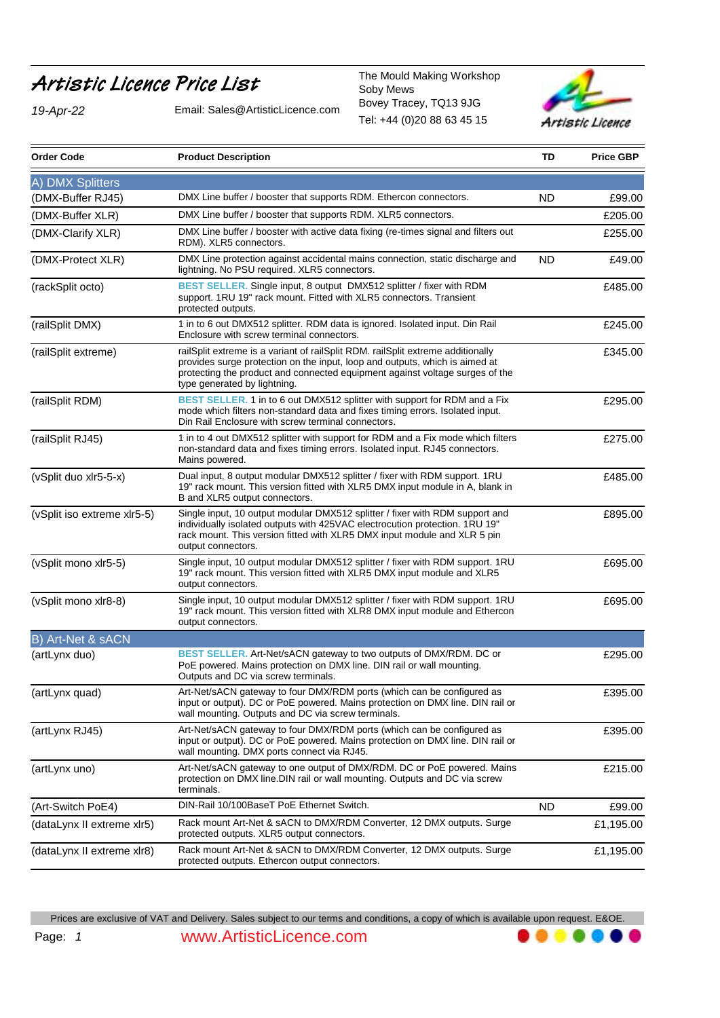## Artistic Licence Price List<br>Soby Mews

*19-Apr-22* Email: Sales@ArtisticLicence.com

Tel: +44 (0)20 88 63 45 15 Soby Mews Bovey Tracey, TQ13 9JG



......

| <b>Order Code</b>           | <b>Product Description</b>                                                                                                                                                                                                                                                     | TD        | <b>Price GBP</b> |
|-----------------------------|--------------------------------------------------------------------------------------------------------------------------------------------------------------------------------------------------------------------------------------------------------------------------------|-----------|------------------|
| A) DMX Splitters            |                                                                                                                                                                                                                                                                                |           |                  |
| (DMX-Buffer RJ45)           | DMX Line buffer / booster that supports RDM. Ethercon connectors.                                                                                                                                                                                                              | <b>ND</b> | £99.00           |
| (DMX-Buffer XLR)            | DMX Line buffer / booster that supports RDM. XLR5 connectors.                                                                                                                                                                                                                  |           | £205.00          |
| (DMX-Clarify XLR)           | DMX Line buffer / booster with active data fixing (re-times signal and filters out<br>RDM). XLR5 connectors.                                                                                                                                                                   |           | £255.00          |
| (DMX-Protect XLR)           | DMX Line protection against accidental mains connection, static discharge and<br>lightning. No PSU required. XLR5 connectors.                                                                                                                                                  | ND        | £49.00           |
| (rackSplit octo)            | BEST SELLER. Single input, 8 output DMX512 splitter / fixer with RDM<br>support. 1RU 19" rack mount. Fitted with XLR5 connectors. Transient<br>protected outputs.                                                                                                              |           | £485.00          |
| (railSplit DMX)             | 1 in to 6 out DMX512 splitter. RDM data is ignored. Isolated input. Din Rail<br>Enclosure with screw terminal connectors.                                                                                                                                                      |           | £245.00          |
| (railSplit extreme)         | railSplit extreme is a variant of railSplit RDM. railSplit extreme additionally<br>provides surge protection on the input, loop and outputs, which is aimed at<br>protecting the product and connected equipment against voltage surges of the<br>type generated by lightning. |           | £345.00          |
| (railSplit RDM)             | BEST SELLER. 1 in to 6 out DMX512 splitter with support for RDM and a Fix<br>mode which filters non-standard data and fixes timing errors. Isolated input.<br>Din Rail Enclosure with screw terminal connectors.                                                               |           | £295.00          |
| (railSplit RJ45)            | 1 in to 4 out DMX512 splitter with support for RDM and a Fix mode which filters<br>non-standard data and fixes timing errors. Isolated input. RJ45 connectors.<br>Mains powered.                                                                                               |           | £275.00          |
| (vSplit duo xlr5-5-x)       | Dual input, 8 output modular DMX512 splitter / fixer with RDM support. 1RU<br>19" rack mount. This version fitted with XLR5 DMX input module in A, blank in<br>B and XLR5 output connectors.                                                                                   |           | £485.00          |
| (vSplit iso extreme xlr5-5) | Single input, 10 output modular DMX512 splitter / fixer with RDM support and<br>individually isolated outputs with 425VAC electrocution protection. 1RU 19"<br>rack mount. This version fitted with XLR5 DMX input module and XLR 5 pin<br>output connectors.                  |           | £895.00          |
| (vSplit mono xlr5-5)        | Single input, 10 output modular DMX512 splitter / fixer with RDM support. 1RU<br>19" rack mount. This version fitted with XLR5 DMX input module and XLR5<br>output connectors.                                                                                                 |           | £695.00          |
| (vSplit mono xlr8-8)        | Single input, 10 output modular DMX512 splitter / fixer with RDM support. 1RU<br>19" rack mount. This version fitted with XLR8 DMX input module and Ethercon<br>output connectors.                                                                                             |           | £695.00          |
| B) Art-Net & sACN           |                                                                                                                                                                                                                                                                                |           |                  |
| (artLynx duo)               | BEST SELLER. Art-Net/sACN gateway to two outputs of DMX/RDM. DC or<br>PoE powered. Mains protection on DMX line. DIN rail or wall mounting.<br>Outputs and DC via screw terminals.                                                                                             |           | £295.00          |
| (artLynx quad)              | Art-Net/sACN gateway to four DMX/RDM ports (which can be configured as<br>input or output). DC or PoE powered. Mains protection on DMX line. DIN rail or<br>wall mounting. Outputs and DC via screw terminals.                                                                 |           | £395.00          |
| (artLynx RJ45)              | Art-Net/sACN gateway to four DMX/RDM ports (which can be configured as<br>input or output). DC or PoE powered. Mains protection on DMX line. DIN rail or<br>wall mounting. DMX ports connect via RJ45.                                                                         |           | £395.00          |
| (artLynx uno)               | Art-Net/sACN gateway to one output of DMX/RDM. DC or PoE powered. Mains<br>protection on DMX line. DIN rail or wall mounting. Outputs and DC via screw<br>terminals.                                                                                                           |           | £215.00          |
| (Art-Switch PoE4)           | DIN-Rail 10/100BaseT PoE Ethernet Switch.                                                                                                                                                                                                                                      | ND.       | £99.00           |
| (dataLynx II extreme xlr5)  | Rack mount Art-Net & sACN to DMX/RDM Converter, 12 DMX outputs. Surge<br>protected outputs. XLR5 output connectors.                                                                                                                                                            |           | £1,195.00        |
| (dataLynx II extreme xlr8)  | Rack mount Art-Net & sACN to DMX/RDM Converter, 12 DMX outputs. Surge<br>protected outputs. Ethercon output connectors.                                                                                                                                                        |           | £1,195.00        |

Prices are exclusive of VAT and Delivery. Sales subject to our terms and conditions, a copy of which is available upon request. E&OE.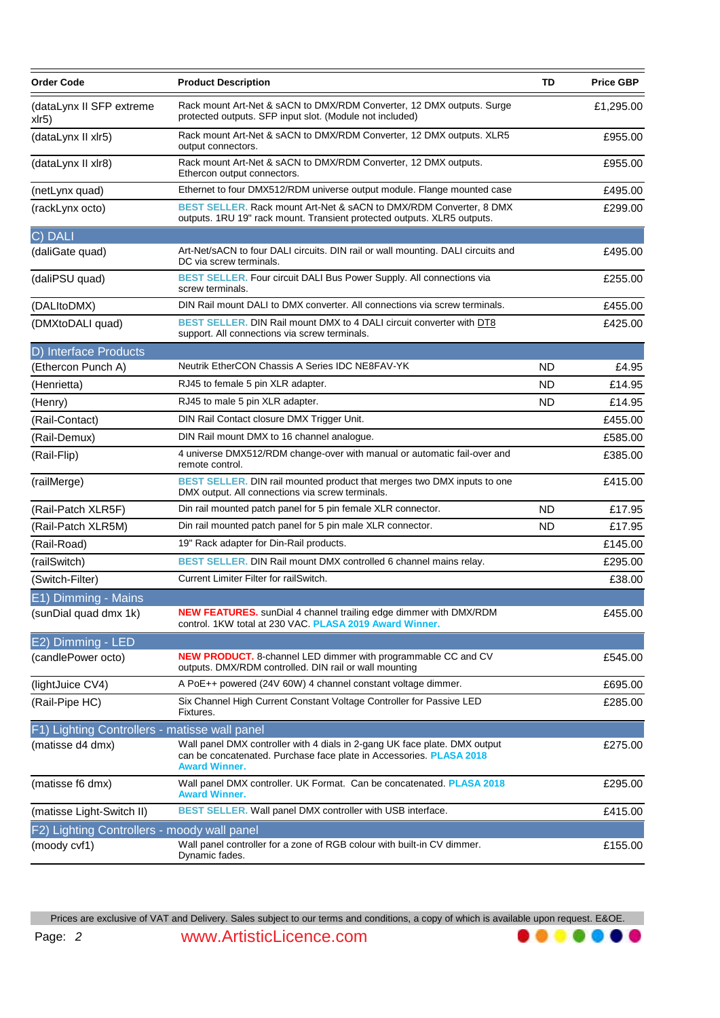| <b>Order Code</b>                           | <b>Product Description</b>                                                                                                                                                | TD        | <b>Price GBP</b> |
|---------------------------------------------|---------------------------------------------------------------------------------------------------------------------------------------------------------------------------|-----------|------------------|
| (dataLynx II SFP extreme<br>xlr5)           | Rack mount Art-Net & sACN to DMX/RDM Converter, 12 DMX outputs. Surge<br>protected outputs. SFP input slot. (Module not included)                                         |           | £1,295.00        |
| (dataLynx II xlr5)                          | Rack mount Art-Net & sACN to DMX/RDM Converter, 12 DMX outputs. XLR5<br>output connectors.                                                                                |           | £955.00          |
| (dataLynx II xlr8)                          | Rack mount Art-Net & sACN to DMX/RDM Converter, 12 DMX outputs.<br>Ethercon output connectors.                                                                            |           | £955.00          |
| (netLynx quad)                              | Ethernet to four DMX512/RDM universe output module. Flange mounted case                                                                                                   |           | £495.00          |
| (rackLynx octo)                             | BEST SELLER. Rack mount Art-Net & sACN to DMX/RDM Converter, 8 DMX<br>outputs. 1RU 19" rack mount. Transient protected outputs. XLR5 outputs.                             |           | £299.00          |
| C) DALI                                     |                                                                                                                                                                           |           |                  |
| (daliGate quad)                             | Art-Net/sACN to four DALI circuits. DIN rail or wall mounting. DALI circuits and<br>DC via screw terminals.                                                               |           | £495.00          |
| (daliPSU quad)                              | BEST SELLER. Four circuit DALI Bus Power Supply. All connections via<br>screw terminals.                                                                                  |           | £255.00          |
| (DALItoDMX)                                 | DIN Rail mount DALI to DMX converter. All connections via screw terminals.                                                                                                |           | £455.00          |
| (DMXtoDALI quad)                            | BEST SELLER. DIN Rail mount DMX to 4 DALI circuit converter with DT8<br>support. All connections via screw terminals.                                                     |           | £425.00          |
| D) Interface Products                       |                                                                                                                                                                           |           |                  |
| (Ethercon Punch A)                          | Neutrik EtherCON Chassis A Series IDC NE8FAV-YK                                                                                                                           | ND        | £4.95            |
| (Henrietta)                                 | RJ45 to female 5 pin XLR adapter.                                                                                                                                         | ND.       | £14.95           |
| (Henry)                                     | RJ45 to male 5 pin XLR adapter.                                                                                                                                           | ND.       | £14.95           |
| (Rail-Contact)                              | DIN Rail Contact closure DMX Trigger Unit.                                                                                                                                |           | £455.00          |
| (Rail-Demux)                                | DIN Rail mount DMX to 16 channel analogue.                                                                                                                                |           | £585.00          |
| (Rail-Flip)                                 | 4 universe DMX512/RDM change-over with manual or automatic fail-over and<br>remote control.                                                                               |           | £385.00          |
| (railMerge)                                 | BEST SELLER. DIN rail mounted product that merges two DMX inputs to one<br>DMX output. All connections via screw terminals.                                               |           | £415.00          |
| (Rail-Patch XLR5F)                          | Din rail mounted patch panel for 5 pin female XLR connector.                                                                                                              | <b>ND</b> | £17.95           |
| (Rail-Patch XLR5M)                          | Din rail mounted patch panel for 5 pin male XLR connector.                                                                                                                | <b>ND</b> | £17.95           |
| (Rail-Road)                                 | 19" Rack adapter for Din-Rail products.                                                                                                                                   |           | £145.00          |
| (railSwitch)                                | BEST SELLER. DIN Rail mount DMX controlled 6 channel mains relay.                                                                                                         |           | £295.00          |
| (Switch-Filter)                             | Current Limiter Filter for railSwitch.                                                                                                                                    |           | £38.00           |
| E1) Dimming - Mains                         |                                                                                                                                                                           |           |                  |
| (sunDial quad dmx 1k)                       | NEW FEATURES. sunDial 4 channel trailing edge dimmer with DMX/RDM<br>control. 1KW total at 230 VAC. PLASA 2019 Award Winner.                                              |           | £455.00          |
| E2) Dimming - LED                           |                                                                                                                                                                           |           |                  |
| (candlePower octo)                          | <b>NEW PRODUCT.</b> 8-channel LED dimmer with programmable CC and CV<br>outputs. DMX/RDM controlled. DIN rail or wall mounting                                            |           | £545.00          |
| (lightJuice CV4)                            | A PoE++ powered (24V 60W) 4 channel constant voltage dimmer.                                                                                                              |           | £695.00          |
| (Rail-Pipe HC)                              | Six Channel High Current Constant Voltage Controller for Passive LED<br>Fixtures.                                                                                         |           | £285.00          |
| Lighting Controllers - matisse wall panel   |                                                                                                                                                                           |           |                  |
| (matisse d4 dmx)                            | Wall panel DMX controller with 4 dials in 2-gang UK face plate. DMX output<br>can be concatenated. Purchase face plate in Accessories. PLASA 2018<br><b>Award Winner.</b> |           | £275.00          |
| (matisse f6 dmx)                            | Wall panel DMX controller. UK Format. Can be concatenated. PLASA 2018<br><b>Award Winner.</b>                                                                             |           | £295.00          |
| (matisse Light-Switch II)                   | BEST SELLER. Wall panel DMX controller with USB interface.                                                                                                                |           | £415.00          |
| F2) Lighting Controllers - moody wall panel |                                                                                                                                                                           |           |                  |
| (moody cvf1)                                | Wall panel controller for a zone of RGB colour with built-in CV dimmer.<br>Dynamic fades.                                                                                 |           | £155.00          |

Prices are exclusive of VAT and Delivery. Sales subject to our terms and conditions, a copy of which is available upon request. E&OE.

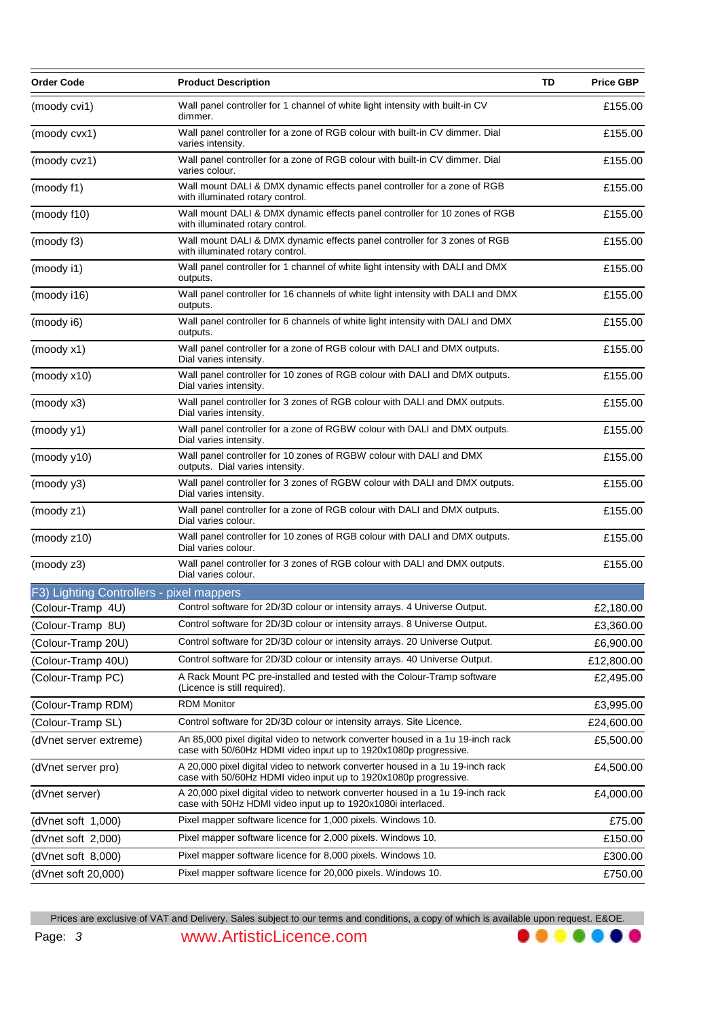| Wall panel controller for 1 channel of white light intensity with built-in CV<br>(moody cvi1)<br>dimmer.<br>Wall panel controller for a zone of RGB colour with built-in CV dimmer. Dial<br>(moody cvx1)<br>varies intensity.<br>Wall panel controller for a zone of RGB colour with built-in CV dimmer. Dial<br>(moody cvz1)<br>varies colour.<br>Wall mount DALI & DMX dynamic effects panel controller for a zone of RGB<br>(moody f1)<br>with illuminated rotary control.<br>Wall mount DALI & DMX dynamic effects panel controller for 10 zones of RGB<br>(moody f10)<br>with illuminated rotary control.<br>Wall mount DALI & DMX dynamic effects panel controller for 3 zones of RGB<br>(moody f3)<br>with illuminated rotary control.<br>Wall panel controller for 1 channel of white light intensity with DALI and DMX<br>(moody i1)<br>outputs.<br>Wall panel controller for 16 channels of white light intensity with DALI and DMX<br>(moody i16)<br>outputs.<br>Wall panel controller for 6 channels of white light intensity with DALI and DMX<br>(moody i6)<br>outputs.<br>Wall panel controller for a zone of RGB colour with DALI and DMX outputs.<br>(mod y x1)<br>Dial varies intensity.<br>Wall panel controller for 10 zones of RGB colour with DALI and DMX outputs.<br>(mody x10)<br>Dial varies intensity.<br>Wall panel controller for 3 zones of RGB colour with DALI and DMX outputs.<br>(moody x3)<br>Dial varies intensity.<br>Wall panel controller for a zone of RGBW colour with DALI and DMX outputs.<br>(moody y1)<br>Dial varies intensity.<br>Wall panel controller for 10 zones of RGBW colour with DALI and DMX<br>(moody y10)<br>outputs. Dial varies intensity.<br>Wall panel controller for 3 zones of RGBW colour with DALI and DMX outputs.<br>(moody y3)<br>Dial varies intensity.<br>Wall panel controller for a zone of RGB colour with DALI and DMX outputs.<br>(moody z1)<br>Dial varies colour.<br>Wall panel controller for 10 zones of RGB colour with DALI and DMX outputs.<br>(moody z10)<br>Dial varies colour.<br>Wall panel controller for 3 zones of RGB colour with DALI and DMX outputs.<br>(moody z3)<br>Dial varies colour.<br>F3) Lighting Controllers - pixel mappers<br>Control software for 2D/3D colour or intensity arrays. 4 Universe Output.<br>(Colour-Tramp 4U)<br>Control software for 2D/3D colour or intensity arrays. 8 Universe Output.<br>(Colour-Tramp 8U)<br>Control software for 2D/3D colour or intensity arrays. 20 Universe Output.<br>(Colour-Tramp 20U)<br>Control software for 2D/3D colour or intensity arrays. 40 Universe Output.<br>(Colour-Tramp 40U)<br>A Rack Mount PC pre-installed and tested with the Colour-Tramp software<br>(Colour-Tramp PC)<br>(Licence is still required).<br><b>RDM Monitor</b><br>(Colour-Tramp RDM)<br>Control software for 2D/3D colour or intensity arrays. Site Licence.<br>(Colour-Tramp SL)<br>An 85,000 pixel digital video to network converter housed in a 1u 19-inch rack<br>(dVnet server extreme)<br>case with 50/60Hz HDMI video input up to 1920x1080p progressive.<br>A 20,000 pixel digital video to network converter housed in a 1u 19-inch rack<br>(dVnet server pro)<br>case with 50/60Hz HDMI video input up to 1920x1080p progressive.<br>A 20,000 pixel digital video to network converter housed in a 1u 19-inch rack<br>(dVnet server)<br>case with 50Hz HDMI video input up to 1920x1080i interlaced.<br>Pixel mapper software licence for 1,000 pixels. Windows 10.<br>(dVnet soft 1,000)<br>Pixel mapper software licence for 2,000 pixels. Windows 10.<br>(dVnet soft 2,000)<br>Pixel mapper software licence for 8,000 pixels. Windows 10.<br>(dVnet soft 8,000)<br>Pixel mapper software licence for 20,000 pixels. Windows 10.<br>(dVnet soft 20,000) | <b>Order Code</b> | <b>Product Description</b> | TD | <b>Price GBP</b> |
|--------------------------------------------------------------------------------------------------------------------------------------------------------------------------------------------------------------------------------------------------------------------------------------------------------------------------------------------------------------------------------------------------------------------------------------------------------------------------------------------------------------------------------------------------------------------------------------------------------------------------------------------------------------------------------------------------------------------------------------------------------------------------------------------------------------------------------------------------------------------------------------------------------------------------------------------------------------------------------------------------------------------------------------------------------------------------------------------------------------------------------------------------------------------------------------------------------------------------------------------------------------------------------------------------------------------------------------------------------------------------------------------------------------------------------------------------------------------------------------------------------------------------------------------------------------------------------------------------------------------------------------------------------------------------------------------------------------------------------------------------------------------------------------------------------------------------------------------------------------------------------------------------------------------------------------------------------------------------------------------------------------------------------------------------------------------------------------------------------------------------------------------------------------------------------------------------------------------------------------------------------------------------------------------------------------------------------------------------------------------------------------------------------------------------------------------------------------------------------------------------------------------------------------------------------------------------------------------------------------------------------------------------------------------------------------------------------------------------------------------------------------------------------------------------------------------------------------------------------------------------------------------------------------------------------------------------------------------------------------------------------------------------------------------------------------------------------------------------------------------------------------------------------------------------------------------------------------------------------------------------------------------------------------------------------------------------------------------------------------------------------------------------------------------------------------------------------------------------------------------------------------------------------------------------------------------------------------------------------------------------------------------------------------------------------------------------------------------------------------------------------------------------------------------------------------|-------------------|----------------------------|----|------------------|
|                                                                                                                                                                                                                                                                                                                                                                                                                                                                                                                                                                                                                                                                                                                                                                                                                                                                                                                                                                                                                                                                                                                                                                                                                                                                                                                                                                                                                                                                                                                                                                                                                                                                                                                                                                                                                                                                                                                                                                                                                                                                                                                                                                                                                                                                                                                                                                                                                                                                                                                                                                                                                                                                                                                                                                                                                                                                                                                                                                                                                                                                                                                                                                                                                                                                                                                                                                                                                                                                                                                                                                                                                                                                                                                                                                                                              |                   |                            |    | £155.00          |
|                                                                                                                                                                                                                                                                                                                                                                                                                                                                                                                                                                                                                                                                                                                                                                                                                                                                                                                                                                                                                                                                                                                                                                                                                                                                                                                                                                                                                                                                                                                                                                                                                                                                                                                                                                                                                                                                                                                                                                                                                                                                                                                                                                                                                                                                                                                                                                                                                                                                                                                                                                                                                                                                                                                                                                                                                                                                                                                                                                                                                                                                                                                                                                                                                                                                                                                                                                                                                                                                                                                                                                                                                                                                                                                                                                                                              |                   |                            |    | £155.00          |
|                                                                                                                                                                                                                                                                                                                                                                                                                                                                                                                                                                                                                                                                                                                                                                                                                                                                                                                                                                                                                                                                                                                                                                                                                                                                                                                                                                                                                                                                                                                                                                                                                                                                                                                                                                                                                                                                                                                                                                                                                                                                                                                                                                                                                                                                                                                                                                                                                                                                                                                                                                                                                                                                                                                                                                                                                                                                                                                                                                                                                                                                                                                                                                                                                                                                                                                                                                                                                                                                                                                                                                                                                                                                                                                                                                                                              |                   |                            |    | £155.00          |
|                                                                                                                                                                                                                                                                                                                                                                                                                                                                                                                                                                                                                                                                                                                                                                                                                                                                                                                                                                                                                                                                                                                                                                                                                                                                                                                                                                                                                                                                                                                                                                                                                                                                                                                                                                                                                                                                                                                                                                                                                                                                                                                                                                                                                                                                                                                                                                                                                                                                                                                                                                                                                                                                                                                                                                                                                                                                                                                                                                                                                                                                                                                                                                                                                                                                                                                                                                                                                                                                                                                                                                                                                                                                                                                                                                                                              |                   |                            |    | £155.00          |
|                                                                                                                                                                                                                                                                                                                                                                                                                                                                                                                                                                                                                                                                                                                                                                                                                                                                                                                                                                                                                                                                                                                                                                                                                                                                                                                                                                                                                                                                                                                                                                                                                                                                                                                                                                                                                                                                                                                                                                                                                                                                                                                                                                                                                                                                                                                                                                                                                                                                                                                                                                                                                                                                                                                                                                                                                                                                                                                                                                                                                                                                                                                                                                                                                                                                                                                                                                                                                                                                                                                                                                                                                                                                                                                                                                                                              |                   |                            |    | £155.00          |
|                                                                                                                                                                                                                                                                                                                                                                                                                                                                                                                                                                                                                                                                                                                                                                                                                                                                                                                                                                                                                                                                                                                                                                                                                                                                                                                                                                                                                                                                                                                                                                                                                                                                                                                                                                                                                                                                                                                                                                                                                                                                                                                                                                                                                                                                                                                                                                                                                                                                                                                                                                                                                                                                                                                                                                                                                                                                                                                                                                                                                                                                                                                                                                                                                                                                                                                                                                                                                                                                                                                                                                                                                                                                                                                                                                                                              |                   |                            |    | £155.00          |
|                                                                                                                                                                                                                                                                                                                                                                                                                                                                                                                                                                                                                                                                                                                                                                                                                                                                                                                                                                                                                                                                                                                                                                                                                                                                                                                                                                                                                                                                                                                                                                                                                                                                                                                                                                                                                                                                                                                                                                                                                                                                                                                                                                                                                                                                                                                                                                                                                                                                                                                                                                                                                                                                                                                                                                                                                                                                                                                                                                                                                                                                                                                                                                                                                                                                                                                                                                                                                                                                                                                                                                                                                                                                                                                                                                                                              |                   |                            |    | £155.00          |
|                                                                                                                                                                                                                                                                                                                                                                                                                                                                                                                                                                                                                                                                                                                                                                                                                                                                                                                                                                                                                                                                                                                                                                                                                                                                                                                                                                                                                                                                                                                                                                                                                                                                                                                                                                                                                                                                                                                                                                                                                                                                                                                                                                                                                                                                                                                                                                                                                                                                                                                                                                                                                                                                                                                                                                                                                                                                                                                                                                                                                                                                                                                                                                                                                                                                                                                                                                                                                                                                                                                                                                                                                                                                                                                                                                                                              |                   |                            |    | £155.00          |
|                                                                                                                                                                                                                                                                                                                                                                                                                                                                                                                                                                                                                                                                                                                                                                                                                                                                                                                                                                                                                                                                                                                                                                                                                                                                                                                                                                                                                                                                                                                                                                                                                                                                                                                                                                                                                                                                                                                                                                                                                                                                                                                                                                                                                                                                                                                                                                                                                                                                                                                                                                                                                                                                                                                                                                                                                                                                                                                                                                                                                                                                                                                                                                                                                                                                                                                                                                                                                                                                                                                                                                                                                                                                                                                                                                                                              |                   |                            |    | £155.00          |
|                                                                                                                                                                                                                                                                                                                                                                                                                                                                                                                                                                                                                                                                                                                                                                                                                                                                                                                                                                                                                                                                                                                                                                                                                                                                                                                                                                                                                                                                                                                                                                                                                                                                                                                                                                                                                                                                                                                                                                                                                                                                                                                                                                                                                                                                                                                                                                                                                                                                                                                                                                                                                                                                                                                                                                                                                                                                                                                                                                                                                                                                                                                                                                                                                                                                                                                                                                                                                                                                                                                                                                                                                                                                                                                                                                                                              |                   |                            |    | £155.00          |
|                                                                                                                                                                                                                                                                                                                                                                                                                                                                                                                                                                                                                                                                                                                                                                                                                                                                                                                                                                                                                                                                                                                                                                                                                                                                                                                                                                                                                                                                                                                                                                                                                                                                                                                                                                                                                                                                                                                                                                                                                                                                                                                                                                                                                                                                                                                                                                                                                                                                                                                                                                                                                                                                                                                                                                                                                                                                                                                                                                                                                                                                                                                                                                                                                                                                                                                                                                                                                                                                                                                                                                                                                                                                                                                                                                                                              |                   |                            |    | £155.00          |
|                                                                                                                                                                                                                                                                                                                                                                                                                                                                                                                                                                                                                                                                                                                                                                                                                                                                                                                                                                                                                                                                                                                                                                                                                                                                                                                                                                                                                                                                                                                                                                                                                                                                                                                                                                                                                                                                                                                                                                                                                                                                                                                                                                                                                                                                                                                                                                                                                                                                                                                                                                                                                                                                                                                                                                                                                                                                                                                                                                                                                                                                                                                                                                                                                                                                                                                                                                                                                                                                                                                                                                                                                                                                                                                                                                                                              |                   |                            |    | £155.00          |
|                                                                                                                                                                                                                                                                                                                                                                                                                                                                                                                                                                                                                                                                                                                                                                                                                                                                                                                                                                                                                                                                                                                                                                                                                                                                                                                                                                                                                                                                                                                                                                                                                                                                                                                                                                                                                                                                                                                                                                                                                                                                                                                                                                                                                                                                                                                                                                                                                                                                                                                                                                                                                                                                                                                                                                                                                                                                                                                                                                                                                                                                                                                                                                                                                                                                                                                                                                                                                                                                                                                                                                                                                                                                                                                                                                                                              |                   |                            |    | £155.00          |
|                                                                                                                                                                                                                                                                                                                                                                                                                                                                                                                                                                                                                                                                                                                                                                                                                                                                                                                                                                                                                                                                                                                                                                                                                                                                                                                                                                                                                                                                                                                                                                                                                                                                                                                                                                                                                                                                                                                                                                                                                                                                                                                                                                                                                                                                                                                                                                                                                                                                                                                                                                                                                                                                                                                                                                                                                                                                                                                                                                                                                                                                                                                                                                                                                                                                                                                                                                                                                                                                                                                                                                                                                                                                                                                                                                                                              |                   |                            |    | £155.00          |
|                                                                                                                                                                                                                                                                                                                                                                                                                                                                                                                                                                                                                                                                                                                                                                                                                                                                                                                                                                                                                                                                                                                                                                                                                                                                                                                                                                                                                                                                                                                                                                                                                                                                                                                                                                                                                                                                                                                                                                                                                                                                                                                                                                                                                                                                                                                                                                                                                                                                                                                                                                                                                                                                                                                                                                                                                                                                                                                                                                                                                                                                                                                                                                                                                                                                                                                                                                                                                                                                                                                                                                                                                                                                                                                                                                                                              |                   |                            |    | £155.00          |
|                                                                                                                                                                                                                                                                                                                                                                                                                                                                                                                                                                                                                                                                                                                                                                                                                                                                                                                                                                                                                                                                                                                                                                                                                                                                                                                                                                                                                                                                                                                                                                                                                                                                                                                                                                                                                                                                                                                                                                                                                                                                                                                                                                                                                                                                                                                                                                                                                                                                                                                                                                                                                                                                                                                                                                                                                                                                                                                                                                                                                                                                                                                                                                                                                                                                                                                                                                                                                                                                                                                                                                                                                                                                                                                                                                                                              |                   |                            |    | £155.00          |
|                                                                                                                                                                                                                                                                                                                                                                                                                                                                                                                                                                                                                                                                                                                                                                                                                                                                                                                                                                                                                                                                                                                                                                                                                                                                                                                                                                                                                                                                                                                                                                                                                                                                                                                                                                                                                                                                                                                                                                                                                                                                                                                                                                                                                                                                                                                                                                                                                                                                                                                                                                                                                                                                                                                                                                                                                                                                                                                                                                                                                                                                                                                                                                                                                                                                                                                                                                                                                                                                                                                                                                                                                                                                                                                                                                                                              |                   |                            |    | £155.00          |
|                                                                                                                                                                                                                                                                                                                                                                                                                                                                                                                                                                                                                                                                                                                                                                                                                                                                                                                                                                                                                                                                                                                                                                                                                                                                                                                                                                                                                                                                                                                                                                                                                                                                                                                                                                                                                                                                                                                                                                                                                                                                                                                                                                                                                                                                                                                                                                                                                                                                                                                                                                                                                                                                                                                                                                                                                                                                                                                                                                                                                                                                                                                                                                                                                                                                                                                                                                                                                                                                                                                                                                                                                                                                                                                                                                                                              |                   |                            |    | £155.00          |
|                                                                                                                                                                                                                                                                                                                                                                                                                                                                                                                                                                                                                                                                                                                                                                                                                                                                                                                                                                                                                                                                                                                                                                                                                                                                                                                                                                                                                                                                                                                                                                                                                                                                                                                                                                                                                                                                                                                                                                                                                                                                                                                                                                                                                                                                                                                                                                                                                                                                                                                                                                                                                                                                                                                                                                                                                                                                                                                                                                                                                                                                                                                                                                                                                                                                                                                                                                                                                                                                                                                                                                                                                                                                                                                                                                                                              |                   |                            |    |                  |
|                                                                                                                                                                                                                                                                                                                                                                                                                                                                                                                                                                                                                                                                                                                                                                                                                                                                                                                                                                                                                                                                                                                                                                                                                                                                                                                                                                                                                                                                                                                                                                                                                                                                                                                                                                                                                                                                                                                                                                                                                                                                                                                                                                                                                                                                                                                                                                                                                                                                                                                                                                                                                                                                                                                                                                                                                                                                                                                                                                                                                                                                                                                                                                                                                                                                                                                                                                                                                                                                                                                                                                                                                                                                                                                                                                                                              |                   |                            |    | £2,180.00        |
|                                                                                                                                                                                                                                                                                                                                                                                                                                                                                                                                                                                                                                                                                                                                                                                                                                                                                                                                                                                                                                                                                                                                                                                                                                                                                                                                                                                                                                                                                                                                                                                                                                                                                                                                                                                                                                                                                                                                                                                                                                                                                                                                                                                                                                                                                                                                                                                                                                                                                                                                                                                                                                                                                                                                                                                                                                                                                                                                                                                                                                                                                                                                                                                                                                                                                                                                                                                                                                                                                                                                                                                                                                                                                                                                                                                                              |                   |                            |    | £3,360.00        |
|                                                                                                                                                                                                                                                                                                                                                                                                                                                                                                                                                                                                                                                                                                                                                                                                                                                                                                                                                                                                                                                                                                                                                                                                                                                                                                                                                                                                                                                                                                                                                                                                                                                                                                                                                                                                                                                                                                                                                                                                                                                                                                                                                                                                                                                                                                                                                                                                                                                                                                                                                                                                                                                                                                                                                                                                                                                                                                                                                                                                                                                                                                                                                                                                                                                                                                                                                                                                                                                                                                                                                                                                                                                                                                                                                                                                              |                   |                            |    | £6,900.00        |
|                                                                                                                                                                                                                                                                                                                                                                                                                                                                                                                                                                                                                                                                                                                                                                                                                                                                                                                                                                                                                                                                                                                                                                                                                                                                                                                                                                                                                                                                                                                                                                                                                                                                                                                                                                                                                                                                                                                                                                                                                                                                                                                                                                                                                                                                                                                                                                                                                                                                                                                                                                                                                                                                                                                                                                                                                                                                                                                                                                                                                                                                                                                                                                                                                                                                                                                                                                                                                                                                                                                                                                                                                                                                                                                                                                                                              |                   |                            |    | £12,800.00       |
|                                                                                                                                                                                                                                                                                                                                                                                                                                                                                                                                                                                                                                                                                                                                                                                                                                                                                                                                                                                                                                                                                                                                                                                                                                                                                                                                                                                                                                                                                                                                                                                                                                                                                                                                                                                                                                                                                                                                                                                                                                                                                                                                                                                                                                                                                                                                                                                                                                                                                                                                                                                                                                                                                                                                                                                                                                                                                                                                                                                                                                                                                                                                                                                                                                                                                                                                                                                                                                                                                                                                                                                                                                                                                                                                                                                                              |                   |                            |    | £2,495.00        |
|                                                                                                                                                                                                                                                                                                                                                                                                                                                                                                                                                                                                                                                                                                                                                                                                                                                                                                                                                                                                                                                                                                                                                                                                                                                                                                                                                                                                                                                                                                                                                                                                                                                                                                                                                                                                                                                                                                                                                                                                                                                                                                                                                                                                                                                                                                                                                                                                                                                                                                                                                                                                                                                                                                                                                                                                                                                                                                                                                                                                                                                                                                                                                                                                                                                                                                                                                                                                                                                                                                                                                                                                                                                                                                                                                                                                              |                   |                            |    | £3,995.00        |
|                                                                                                                                                                                                                                                                                                                                                                                                                                                                                                                                                                                                                                                                                                                                                                                                                                                                                                                                                                                                                                                                                                                                                                                                                                                                                                                                                                                                                                                                                                                                                                                                                                                                                                                                                                                                                                                                                                                                                                                                                                                                                                                                                                                                                                                                                                                                                                                                                                                                                                                                                                                                                                                                                                                                                                                                                                                                                                                                                                                                                                                                                                                                                                                                                                                                                                                                                                                                                                                                                                                                                                                                                                                                                                                                                                                                              |                   |                            |    | £24,600.00       |
|                                                                                                                                                                                                                                                                                                                                                                                                                                                                                                                                                                                                                                                                                                                                                                                                                                                                                                                                                                                                                                                                                                                                                                                                                                                                                                                                                                                                                                                                                                                                                                                                                                                                                                                                                                                                                                                                                                                                                                                                                                                                                                                                                                                                                                                                                                                                                                                                                                                                                                                                                                                                                                                                                                                                                                                                                                                                                                                                                                                                                                                                                                                                                                                                                                                                                                                                                                                                                                                                                                                                                                                                                                                                                                                                                                                                              |                   |                            |    | £5,500.00        |
|                                                                                                                                                                                                                                                                                                                                                                                                                                                                                                                                                                                                                                                                                                                                                                                                                                                                                                                                                                                                                                                                                                                                                                                                                                                                                                                                                                                                                                                                                                                                                                                                                                                                                                                                                                                                                                                                                                                                                                                                                                                                                                                                                                                                                                                                                                                                                                                                                                                                                                                                                                                                                                                                                                                                                                                                                                                                                                                                                                                                                                                                                                                                                                                                                                                                                                                                                                                                                                                                                                                                                                                                                                                                                                                                                                                                              |                   |                            |    | £4,500.00        |
|                                                                                                                                                                                                                                                                                                                                                                                                                                                                                                                                                                                                                                                                                                                                                                                                                                                                                                                                                                                                                                                                                                                                                                                                                                                                                                                                                                                                                                                                                                                                                                                                                                                                                                                                                                                                                                                                                                                                                                                                                                                                                                                                                                                                                                                                                                                                                                                                                                                                                                                                                                                                                                                                                                                                                                                                                                                                                                                                                                                                                                                                                                                                                                                                                                                                                                                                                                                                                                                                                                                                                                                                                                                                                                                                                                                                              |                   |                            |    | £4,000.00        |
|                                                                                                                                                                                                                                                                                                                                                                                                                                                                                                                                                                                                                                                                                                                                                                                                                                                                                                                                                                                                                                                                                                                                                                                                                                                                                                                                                                                                                                                                                                                                                                                                                                                                                                                                                                                                                                                                                                                                                                                                                                                                                                                                                                                                                                                                                                                                                                                                                                                                                                                                                                                                                                                                                                                                                                                                                                                                                                                                                                                                                                                                                                                                                                                                                                                                                                                                                                                                                                                                                                                                                                                                                                                                                                                                                                                                              |                   |                            |    | £75.00           |
|                                                                                                                                                                                                                                                                                                                                                                                                                                                                                                                                                                                                                                                                                                                                                                                                                                                                                                                                                                                                                                                                                                                                                                                                                                                                                                                                                                                                                                                                                                                                                                                                                                                                                                                                                                                                                                                                                                                                                                                                                                                                                                                                                                                                                                                                                                                                                                                                                                                                                                                                                                                                                                                                                                                                                                                                                                                                                                                                                                                                                                                                                                                                                                                                                                                                                                                                                                                                                                                                                                                                                                                                                                                                                                                                                                                                              |                   |                            |    | £150.00          |
|                                                                                                                                                                                                                                                                                                                                                                                                                                                                                                                                                                                                                                                                                                                                                                                                                                                                                                                                                                                                                                                                                                                                                                                                                                                                                                                                                                                                                                                                                                                                                                                                                                                                                                                                                                                                                                                                                                                                                                                                                                                                                                                                                                                                                                                                                                                                                                                                                                                                                                                                                                                                                                                                                                                                                                                                                                                                                                                                                                                                                                                                                                                                                                                                                                                                                                                                                                                                                                                                                                                                                                                                                                                                                                                                                                                                              |                   |                            |    | £300.00          |
|                                                                                                                                                                                                                                                                                                                                                                                                                                                                                                                                                                                                                                                                                                                                                                                                                                                                                                                                                                                                                                                                                                                                                                                                                                                                                                                                                                                                                                                                                                                                                                                                                                                                                                                                                                                                                                                                                                                                                                                                                                                                                                                                                                                                                                                                                                                                                                                                                                                                                                                                                                                                                                                                                                                                                                                                                                                                                                                                                                                                                                                                                                                                                                                                                                                                                                                                                                                                                                                                                                                                                                                                                                                                                                                                                                                                              |                   |                            |    | £750.00          |

Prices are exclusive of VAT and Delivery. Sales subject to our terms and conditions, a copy of which is available upon request. E&OE.

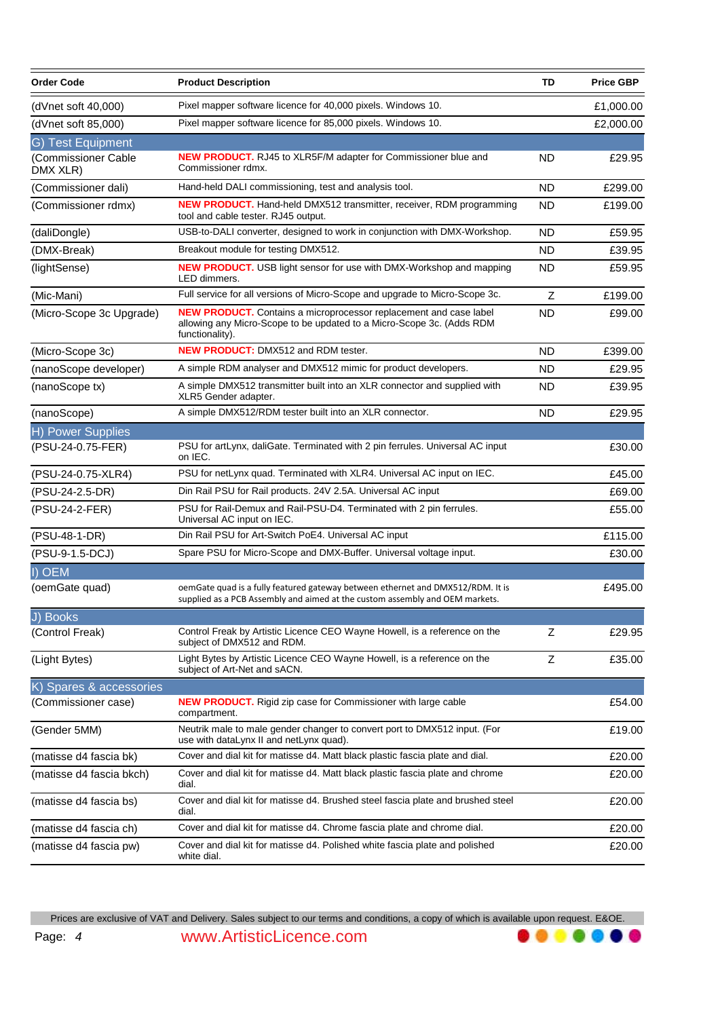| <b>Order Code</b>                                    | <b>Product Description</b>                                                                                                                                           | TD        | <b>Price GBP</b> |
|------------------------------------------------------|----------------------------------------------------------------------------------------------------------------------------------------------------------------------|-----------|------------------|
| (dVnet soft 40,000)                                  | Pixel mapper software licence for 40,000 pixels. Windows 10.                                                                                                         |           | £1,000.00        |
| (dVnet soft 85,000)                                  | Pixel mapper software licence for 85,000 pixels. Windows 10.                                                                                                         |           | £2,000.00        |
| G) Test Equipment<br>(Commissioner Cable<br>DMX XLR) | <b>NEW PRODUCT.</b> RJ45 to XLR5F/M adapter for Commissioner blue and<br>Commissioner rdmx.                                                                          | ND        | £29.95           |
| (Commissioner dali)                                  | Hand-held DALI commissioning, test and analysis tool.                                                                                                                | <b>ND</b> | £299.00          |
| (Commissioner rdmx)                                  | <b>NEW PRODUCT.</b> Hand-held DMX512 transmitter, receiver, RDM programming<br>tool and cable tester. RJ45 output.                                                   | <b>ND</b> | £199.00          |
| (daliDongle)                                         | USB-to-DALI converter, designed to work in conjunction with DMX-Workshop.                                                                                            | <b>ND</b> | £59.95           |
| (DMX-Break)                                          | Breakout module for testing DMX512.                                                                                                                                  | <b>ND</b> | £39.95           |
| (lightSense)                                         | <b>NEW PRODUCT.</b> USB light sensor for use with DMX-Workshop and mapping<br>LED dimmers.                                                                           | ND.       | £59.95           |
| (Mic-Mani)                                           | Full service for all versions of Micro-Scope and upgrade to Micro-Scope 3c.                                                                                          | Z         | £199.00          |
| (Micro-Scope 3c Upgrade)                             | <b>NEW PRODUCT.</b> Contains a microprocessor replacement and case label<br>allowing any Micro-Scope to be updated to a Micro-Scope 3c. (Adds RDM<br>functionality). | ND        | £99.00           |
| (Micro-Scope 3c)                                     | <b>NEW PRODUCT: DMX512 and RDM tester.</b>                                                                                                                           | <b>ND</b> | £399.00          |
| (nanoScope developer)                                | A simple RDM analyser and DMX512 mimic for product developers.                                                                                                       | ND        | £29.95           |
| (nanoScope tx)                                       | A simple DMX512 transmitter built into an XLR connector and supplied with<br>XLR5 Gender adapter.                                                                    | ND        | £39.95           |
| (nanoScope)                                          | A simple DMX512/RDM tester built into an XLR connector.                                                                                                              | <b>ND</b> | £29.95           |
| <b>H) Power Supplies</b>                             |                                                                                                                                                                      |           |                  |
| (PSU-24-0.75-FER)                                    | PSU for artLynx, daliGate. Terminated with 2 pin ferrules. Universal AC input<br>on IEC.                                                                             |           | £30.00           |
| (PSU-24-0.75-XLR4)                                   | PSU for netLynx quad. Terminated with XLR4. Universal AC input on IEC.                                                                                               |           | £45.00           |
| (PSU-24-2.5-DR)                                      | Din Rail PSU for Rail products. 24V 2.5A. Universal AC input                                                                                                         |           | £69.00           |
| (PSU-24-2-FER)                                       | PSU for Rail-Demux and Rail-PSU-D4. Terminated with 2 pin ferrules.<br>Universal AC input on IEC.                                                                    |           | £55.00           |
| (PSU-48-1-DR)                                        | Din Rail PSU for Art-Switch PoE4. Universal AC input                                                                                                                 |           | £115.00          |
| (PSU-9-1.5-DCJ)                                      | Spare PSU for Micro-Scope and DMX-Buffer. Universal voltage input.                                                                                                   |           | £30.00           |
| I) OEM                                               |                                                                                                                                                                      |           |                  |
| (oemGate quad)                                       | oemGate quad is a fully featured gateway between ethernet and DMX512/RDM. It is<br>supplied as a PCB Assembly and aimed at the custom assembly and OEM markets.      |           | £495.00          |
| J) Books                                             |                                                                                                                                                                      |           |                  |
| (Control Freak)                                      | Control Freak by Artistic Licence CEO Wayne Howell, is a reference on the<br>subject of DMX512 and RDM.                                                              | Z         | £29.95           |
| (Light Bytes)                                        | Light Bytes by Artistic Licence CEO Wayne Howell, is a reference on the<br>subject of Art-Net and sACN.                                                              | Z         | £35.00           |
| K) Spares & accessories                              |                                                                                                                                                                      |           |                  |
| (Commissioner case)                                  | <b>NEW PRODUCT.</b> Rigid zip case for Commissioner with large cable<br>compartment.                                                                                 |           | £54.00           |
| (Gender 5MM)                                         | Neutrik male to male gender changer to convert port to DMX512 input. (For<br>use with dataLynx II and netLynx quad).                                                 |           | £19.00           |
| (matisse d4 fascia bk)                               | Cover and dial kit for matisse d4. Matt black plastic fascia plate and dial.                                                                                         |           | £20.00           |
| (matisse d4 fascia bkch)                             | Cover and dial kit for matisse d4. Matt black plastic fascia plate and chrome<br>dial.                                                                               |           | £20.00           |
| (matisse d4 fascia bs)                               | Cover and dial kit for matisse d4. Brushed steel fascia plate and brushed steel<br>dial.                                                                             |           | £20.00           |
| (matisse d4 fascia ch)                               | Cover and dial kit for matisse d4. Chrome fascia plate and chrome dial.                                                                                              |           | £20.00           |
| (matisse d4 fascia pw)                               | Cover and dial kit for matisse d4. Polished white fascia plate and polished<br>white dial.                                                                           |           | £20.00           |